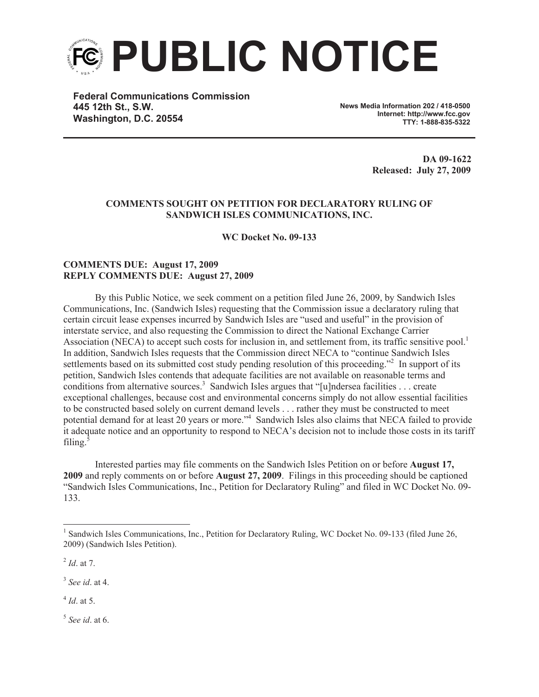

**Federal Communications Commission 445 12th St., S.W. Washington, D.C. 20554**

**News Media Information 202 / 418-0500 Internet: http://www.fcc.gov TTY: 1-888-835-5322**

> **DA 09-1622 Released: July 27, 2009**

## **COMMENTS SOUGHT ON PETITION FOR DECLARATORY RULING OF SANDWICH ISLES COMMUNICATIONS, INC.**

**WC Docket No. 09-133**

## **COMMENTS DUE: August 17, 2009 REPLY COMMENTS DUE: August 27, 2009**

By this Public Notice, we seek comment on a petition filed June 26, 2009, by Sandwich Isles Communications, Inc. (Sandwich Isles) requesting that the Commission issue a declaratory ruling that certain circuit lease expenses incurred by Sandwich Isles are "used and useful" in the provision of interstate service, and also requesting the Commission to direct the National Exchange Carrier Association (NECA) to accept such costs for inclusion in, and settlement from, its traffic sensitive pool.<sup>1</sup> In addition, Sandwich Isles requests that the Commission direct NECA to "continue Sandwich Isles settlements based on its submitted cost study pending resolution of this proceeding."<sup>2</sup> In support of its petition, Sandwich Isles contends that adequate facilities are not available on reasonable terms and conditions from alternative sources.<sup>3</sup> Sandwich Isles argues that "[u]ndersea facilities ... create exceptional challenges, because cost and environmental concerns simply do not allow essential facilities to be constructed based solely on current demand levels . . . rather they must be constructed to meet potential demand for at least 20 years or more."<sup>4</sup> Sandwich Isles also claims that NECA failed to provide it adequate notice and an opportunity to respond to NECA's decision not to include those costs in its tariff filing. $5$ 

Interested parties may file comments on the Sandwich Isles Petition on or before **August 17, 2009** and reply comments on or before **August 27, 2009**. Filings in this proceeding should be captioned "Sandwich Isles Communications, Inc., Petition for Declaratory Ruling" and filed in WC Docket No. 09- 133.

3 *See id*. at 4.

4 *Id*. at 5.

5 *See id*. at 6.

<sup>&</sup>lt;sup>1</sup> Sandwich Isles Communications, Inc., Petition for Declaratory Ruling, WC Docket No. 09-133 (filed June 26, 2009) (Sandwich Isles Petition).

<sup>2</sup> *Id*. at 7.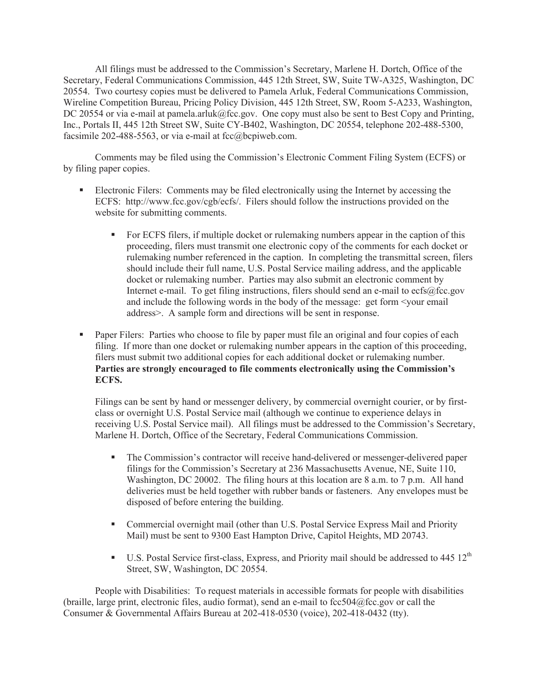All filings must be addressed to the Commission's Secretary, Marlene H. Dortch, Office of the Secretary, Federal Communications Commission, 445 12th Street, SW, Suite TW-A325, Washington, DC 20554. Two courtesy copies must be delivered to Pamela Arluk, Federal Communications Commission, Wireline Competition Bureau, Pricing Policy Division, 445 12th Street, SW, Room 5-A233, Washington, DC 20554 or via e-mail at pamela.arluk@fcc.gov. One copy must also be sent to Best Copy and Printing, Inc., Portals II, 445 12th Street SW, Suite CY-B402, Washington, DC 20554, telephone 202-488-5300, facsimile 202-488-5563, or via e-mail at  $fcc@$  be piweb.com.

Comments may be filed using the Commission's Electronic Comment Filing System (ECFS) or by filing paper copies.

- Electronic Filers: Comments may be filed electronically using the Internet by accessing the ECFS: http://www.fcc.gov/cgb/ecfs/. Filers should follow the instructions provided on the website for submitting comments.
	- For ECFS filers, if multiple docket or rulemaking numbers appear in the caption of this proceeding, filers must transmit one electronic copy of the comments for each docket or rulemaking number referenced in the caption. In completing the transmittal screen, filers should include their full name, U.S. Postal Service mailing address, and the applicable docket or rulemaking number. Parties may also submit an electronic comment by Internet e-mail. To get filing instructions, filers should send an e-mail to ecfs@fcc.gov and include the following words in the body of the message: get form <your email address>. A sample form and directions will be sent in response.
- Paper Filers: Parties who choose to file by paper must file an original and four copies of each filing. If more than one docket or rulemaking number appears in the caption of this proceeding, filers must submit two additional copies for each additional docket or rulemaking number. **Parties are strongly encouraged to file comments electronically using the Commission's ECFS.**

Filings can be sent by hand or messenger delivery, by commercial overnight courier, or by firstclass or overnight U.S. Postal Service mail (although we continue to experience delays in receiving U.S. Postal Service mail). All filings must be addressed to the Commission's Secretary, Marlene H. Dortch, Office of the Secretary, Federal Communications Commission.

- § The Commission's contractor will receive hand-delivered or messenger-delivered paper filings for the Commission's Secretary at 236 Massachusetts Avenue, NE, Suite 110, Washington, DC 20002. The filing hours at this location are 8 a.m. to 7 p.m. All hand deliveries must be held together with rubber bands or fasteners. Any envelopes must be disposed of before entering the building.
- Commercial overnight mail (other than U.S. Postal Service Express Mail and Priority Mail) must be sent to 9300 East Hampton Drive, Capitol Heights, MD 20743.
- **•** U.S. Postal Service first-class, Express, and Priority mail should be addressed to 445  $12<sup>th</sup>$ Street, SW, Washington, DC 20554.

People with Disabilities: To request materials in accessible formats for people with disabilities (braille, large print, electronic files, audio format), send an e-mail to  $fcc504@$ fcc.gov or call the Consumer & Governmental Affairs Bureau at 202-418-0530 (voice), 202-418-0432 (tty).